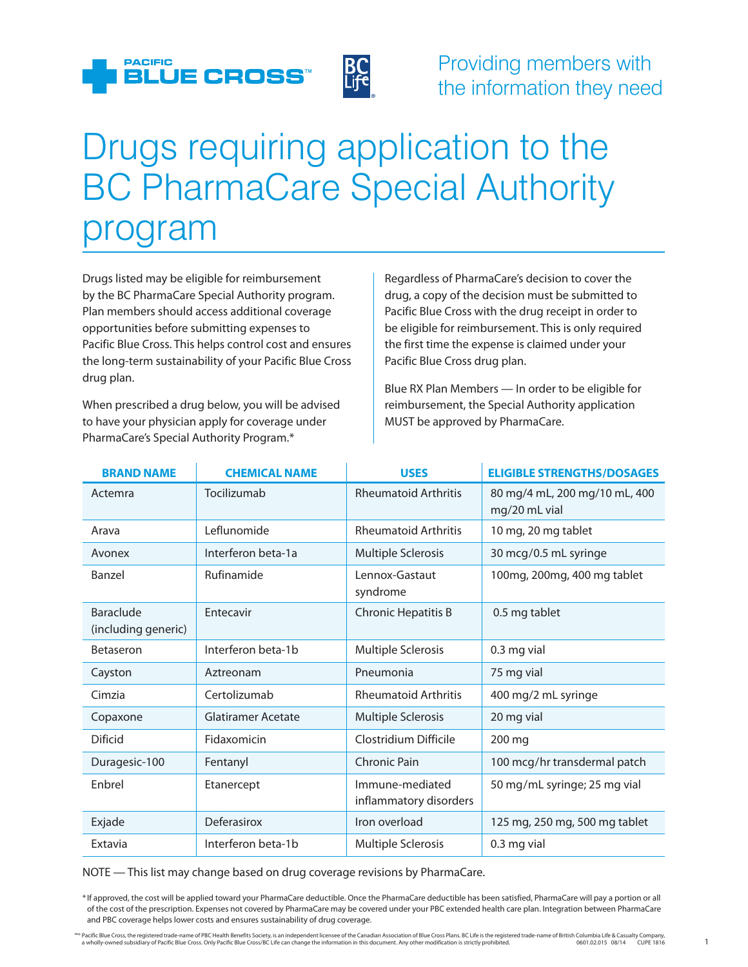

## Drugs requiring application to the BC PharmaCare Special Authority program

Drugs listed may be eligible for reimbursement by the BC PharmaCare Special Authority program. Plan members should access additional coverage opportunities before submitting expenses to Pacific Blue Cross. This helps control cost and ensures the long-term sustainability of your Pacific Blue Cross drug plan.

When prescribed a drug below, you will be advised to have your physician apply for coverage under PharmaCare's Special Authority Program.\*

Regardless of PharmaCare's decision to cover the drug, a copy of the decision must be submitted to Pacific Blue Cross with the drug receipt in order to be eligible for reimbursement. This is only required the first time the expense is claimed under your Pacific Blue Cross drug plan.

Blue RX Plan Members — In order to be eligible for reimbursement, the Special Authority application MUST be approved by PharmaCare.

| <b>BRAND NAME</b>                | <b>CHEMICAL NAME</b> | <b>USES</b>                               | <b>ELIGIBLE STRENGTHS/DOSAGES</b>              |
|----------------------------------|----------------------|-------------------------------------------|------------------------------------------------|
| Actemra                          | Tocilizumab          | <b>Rheumatoid Arthritis</b>               | 80 mg/4 mL, 200 mg/10 mL, 400<br>mg/20 mL vial |
| Arava                            | Leflunomide          | <b>Rheumatoid Arthritis</b>               | 10 mg, 20 mg tablet                            |
| Avonex                           | Interferon beta-1a   | <b>Multiple Sclerosis</b>                 | 30 mcg/0.5 mL syringe                          |
| Banzel                           | Rufinamide           | Lennox-Gastaut<br>syndrome                | 100mg, 200mg, 400 mg tablet                    |
| Baraclude<br>(including generic) | Entecavir            | <b>Chronic Hepatitis B</b>                | 0.5 mg tablet                                  |
| Betaseron                        | Interferon beta-1b   | <b>Multiple Sclerosis</b>                 | 0.3 mg vial                                    |
| Cayston                          | Aztreonam            | Pneumonia                                 | 75 mg vial                                     |
| Cimzia                           | Certolizumab         | <b>Rheumatoid Arthritis</b>               | 400 mg/2 mL syringe                            |
| Copaxone                         | Glatiramer Acetate   | <b>Multiple Sclerosis</b>                 | 20 mg vial                                     |
| Dificid                          | Fidaxomicin          | Clostridium Difficile                     | 200 mg                                         |
| Duragesic-100                    | Fentanyl             | Chronic Pain                              | 100 mcg/hr transdermal patch                   |
| Enbrel                           | Etanercept           | Immune-mediated<br>inflammatory disorders | 50 mg/mL syringe; 25 mg vial                   |
| Exjade                           | Deferasirox          | Iron overload                             | 125 mg, 250 mg, 500 mg tablet                  |
| Extavia                          | Interferon beta-1b   | Multiple Sclerosis                        | 0.3 mg vial                                    |

NOTE — This list may change based on drug coverage revisions by PharmaCare.

<sup>\*</sup> If approved, the cost will be applied toward your PharmaCare deductible. Once the PharmaCare deductible has been satisfied, PharmaCare will pay a portion or all of the cost of the prescription. Expenses not covered by PharmaCare may be covered under your PBC extended health care plan. Integration between PharmaCare and PBC coverage helps lower costs and ensures sustainability of drug coverage.

Pacific Blue Cross, the registered trade-name of PBC Health Benefits Society, is an independent licensee of the Canadian Association of Blue Cross Plans. BC Life is the registered trade-name of British Columbia Life & Casu a wholly-owned subsidiary of Pacific Blue Cross. Only Pacific Blue Cross/BC Life can change the information in this document. Any other modification is strictly prohibited. 0601.02.015 08/14 CUPE 1816 1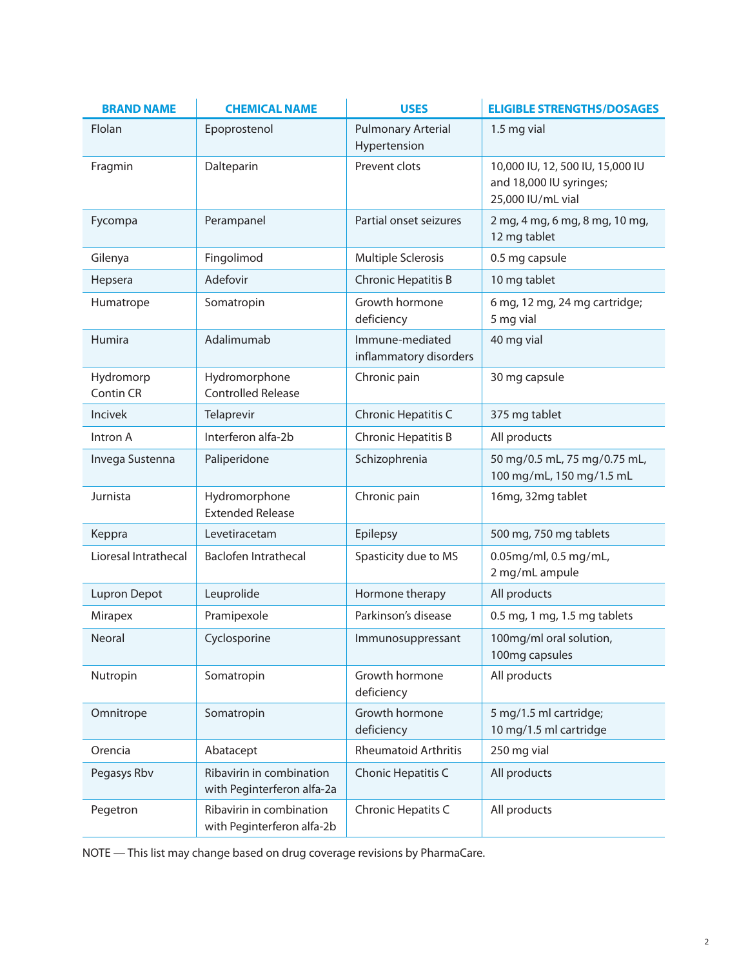| <b>BRAND NAME</b>      | <b>CHEMICAL NAME</b>                                   | <b>USES</b>                               | <b>ELIGIBLE STRENGTHS/DOSAGES</b>                                                |
|------------------------|--------------------------------------------------------|-------------------------------------------|----------------------------------------------------------------------------------|
| Flolan                 | Epoprostenol                                           | <b>Pulmonary Arterial</b><br>Hypertension | 1.5 mg vial                                                                      |
| Fragmin                | Dalteparin                                             | Prevent clots                             | 10,000 IU, 12, 500 IU, 15,000 IU<br>and 18,000 IU syringes;<br>25,000 IU/mL vial |
| Fycompa                | Perampanel                                             | Partial onset seizures                    | 2 mg, 4 mg, 6 mg, 8 mg, 10 mg,<br>12 mg tablet                                   |
| Gilenya                | Fingolimod                                             | Multiple Sclerosis                        | 0.5 mg capsule                                                                   |
| Hepsera                | Adefovir                                               | Chronic Hepatitis B                       | 10 mg tablet                                                                     |
| Humatrope              | Somatropin                                             | Growth hormone<br>deficiency              | 6 mg, 12 mg, 24 mg cartridge;<br>5 mg vial                                       |
| Humira                 | Adalimumab                                             | Immune-mediated<br>inflammatory disorders | 40 mg vial                                                                       |
| Hydromorp<br>Contin CR | Hydromorphone<br><b>Controlled Release</b>             | Chronic pain                              | 30 mg capsule                                                                    |
| <b>Incivek</b>         | Telaprevir                                             | Chronic Hepatitis C                       | 375 mg tablet                                                                    |
| Intron A               | Interferon alfa-2b                                     | Chronic Hepatitis B                       | All products                                                                     |
| Invega Sustenna        | Paliperidone                                           | Schizophrenia                             | 50 mg/0.5 mL, 75 mg/0.75 mL,<br>100 mg/mL, 150 mg/1.5 mL                         |
| Jurnista               | Hydromorphone<br><b>Extended Release</b>               | Chronic pain                              | 16mg, 32mg tablet                                                                |
| Keppra                 | Levetiracetam                                          | Epilepsy                                  | 500 mg, 750 mg tablets                                                           |
| Lioresal Intrathecal   | Baclofen Intrathecal                                   | Spasticity due to MS                      | 0.05mg/ml, 0.5 mg/mL,<br>2 mg/mL ampule                                          |
| <b>Lupron Depot</b>    | Leuprolide                                             | Hormone therapy                           | All products                                                                     |
| Mirapex                | Pramipexole                                            | Parkinson's disease                       | 0.5 mg, 1 mg, 1.5 mg tablets                                                     |
| Neoral                 | Cyclosporine                                           | Immunosuppressant                         | 100mg/ml oral solution,<br>100mg capsules                                        |
| Nutropin               | Somatropin                                             | Growth hormone<br>deficiency              | All products                                                                     |
| Omnitrope              | Somatropin                                             | Growth hormone<br>deficiency              | 5 mg/1.5 ml cartridge;<br>10 mg/1.5 ml cartridge                                 |
| Orencia                | Abatacept                                              | <b>Rheumatoid Arthritis</b>               | 250 mg vial                                                                      |
| Pegasys Rbv            | Ribavirin in combination<br>with Peginterferon alfa-2a | Chonic Hepatitis C                        | All products                                                                     |
| Pegetron               | Ribavirin in combination<br>with Peginterferon alfa-2b | Chronic Hepatits C                        | All products                                                                     |

NOTE — This list may change based on drug coverage revisions by PharmaCare.